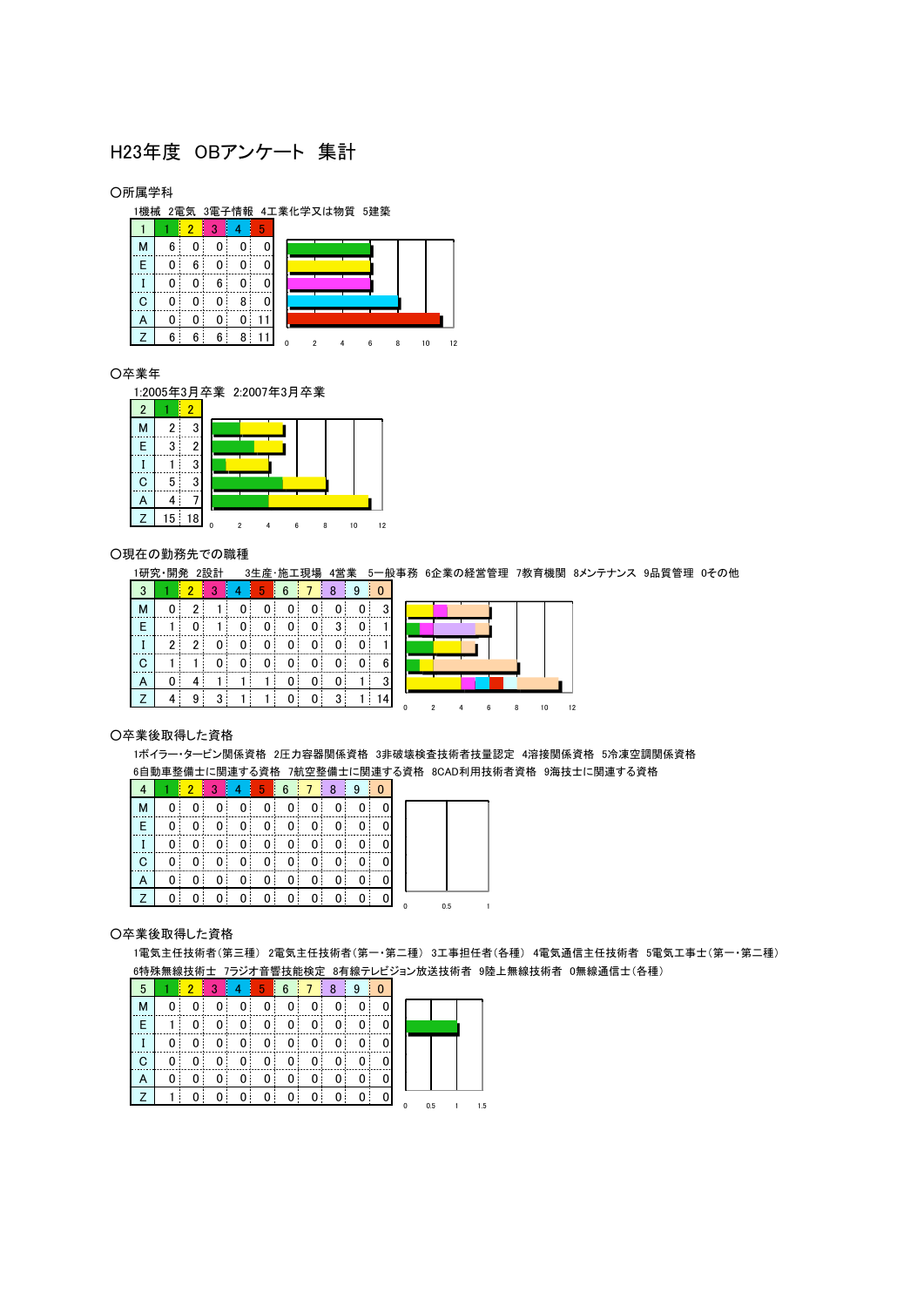# H23年度 OBアンケート 集計

O所属学科

1機械 2電気 3電子情報 4工業化学又は物質 5建築



O卒業年

1:2005年3月卒業 2:2007年3月卒業



# ○現在の勤務先での職種

1研究・開発 2設計 - 3生産・施工現場 4営業 5一般事務 6企業の経営管理 7教育機関 8メンテナンス 9品質管理 0その他

 $10<sup>10</sup>$  $\mathbf{g}$ 

 $12$ 

| 3 |   |   | 3 | 4            | 5  | 6  |    | 8 | 9 | 0 |        |
|---|---|---|---|--------------|----|----|----|---|---|---|--------|
| M | 0 | 2 |   | 0:           | 0  | 0: | 0: | 0 | 0 | 3 |        |
| F | 1 | 0 |   | 0            | 0  | 0  | 0: | 3 | 0 |   |        |
|   | 2 | 2 | 0 | $\mathbf{0}$ | 0  | 0  | 0  | 0 | ŋ |   |        |
| C |   |   | 0 | $\mathbf{0}$ | 0: | 0  | 0  | 0 | 0 | 6 |        |
| A | 0 | 4 |   |              |    | 0  | 0: | 0 |   | 3 |        |
|   |   | 9 | 3 |              |    |    |    | 3 |   |   | 2<br>6 |

### ○卒業後取得した資格

1ボイラー・タービン関係資格 2圧力容器関係資格 3非破壊検査技術者技量認定 4溶接関係資格 5冷凍空調関係資格 6自動車整備士に関連する資格 7航空整備士に関連する資格 8CAD利用技術者資格 9海技士に関連する資格

|   |   |   | 3            | 4            | 5.             | 6            |    | 8 | 9 | 0 |
|---|---|---|--------------|--------------|----------------|--------------|----|---|---|---|
| м | 0 | 0 | $\mathbf{0}$ | $\mathbf{0}$ | $\mathbf{0}$   | $\mathbf{0}$ | 0  | 0 | 0 |   |
| Е | 0 | 0 | 0:           | $\mathbf{0}$ | $\mathbf{0}$   | 0:           | 0  | 0 | 0 |   |
|   | 0 | 0 | 0:           | 0:           | 0:             | 0:           | 0: | 0 | 0 |   |
|   | 0 | 0 | 0            | 0:           | 0:             | 0:           | 0  | 0 | 0 |   |
|   |   | O |              | 0:           | $\mathbf{0}$ : | 0:           | 0  | 0 | U |   |
|   |   |   |              | 0            | 0              | 0            | 0  | 0 | o |   |

# ○卒業後取得した資格

1電気主任技術者(第三種) 2電気主任技術者(第一・第二種) 3工事担任者(各種) 4電気通信主任技術者 5電気工事士(第一・第二種) 6特殊無線技術士 7ラジオ音響技能検定 8有線テレビジョン放送技術者 9陸上無線技術者 0無線通信士(各種)

|   |   |   | 3            |              | 5            | 6            |     | 8 | 9 | 0 |   |     |  |     |
|---|---|---|--------------|--------------|--------------|--------------|-----|---|---|---|---|-----|--|-----|
|   | 0 |   |              |              | 0:           | 0            | 0   | 0 | 0 |   |   |     |  |     |
| F |   |   |              |              | 0 :          | 0            | 0 : | 0 | 0 |   |   |     |  |     |
|   | 0 | 0 | 0            | 0            | 0            | 0:           | 0:  | 0 | 0 |   |   |     |  |     |
| С | 0 | 0 | $\mathbf{0}$ | $\mathbf{0}$ | 0:           | $\mathbf{0}$ | 0:  | 0 | 0 |   |   |     |  |     |
|   |   | 0 | 0            | $\mathbf{0}$ | $\mathbf{0}$ | $\mathbf{0}$ | 0   | 0 | 0 |   |   |     |  |     |
|   |   |   |              |              | 0            | 0            | 0   | 0 |   |   | 0 | 0.5 |  | 1.5 |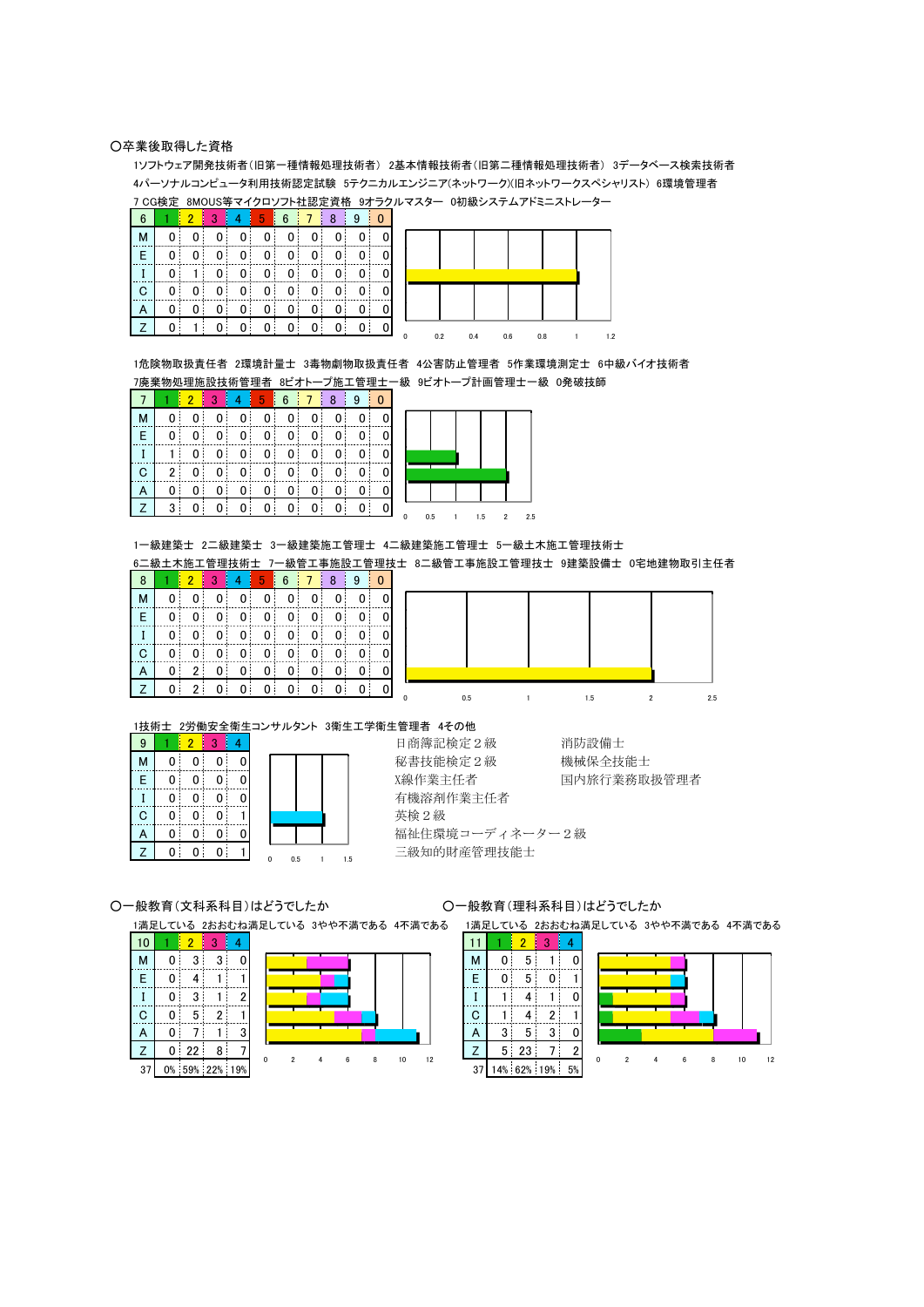### ○卒業後取得した資格

1ソフトウェア開発技術者(旧第一種情報処理技術者) 2基本情報技術者(旧第二種情報処理技術者) 3データベース検索技術者 4パーソナルコンピュータ利用技術認定試験 5テクニカルエンジニア(ネットワーク)(旧ネットワークスペシャリスト) 6環境管理者 7 CG検定 8MOUS等マイクロソフト社認定資格 9オラクルマスター 0初級システムアドミニストレーター

| 6 |   | 2 | 3      |              | 5 <sup>5</sup> | 6            | 7   | 8 | 9 |   |
|---|---|---|--------|--------------|----------------|--------------|-----|---|---|---|
| м | 0 | 0 | 0<br>÷ | $\mathbf{0}$ | 0              | $\mathbf{0}$ | 0   | 0 | 0 |   |
| Е | 0 | 0 | 0      | 0            | 0:             | $\mathbf{0}$ | 0   | 0 | 0 | 0 |
| I | 0 |   | 0      | 0            | 0:             | 0            | 0   | 0 | 0 |   |
| C | 0 | 0 | 0 :    | 0            | 0:             | 0 :          | 0   | 0 | 0 | 0 |
| A | 0 | 0 | 0<br>٠ | 0:           | $\mathbf{0}$   | 0:           | 0   | 0 | 0 |   |
|   | 0 |   | 0:     | 0            | $\mathbf{0}$   | 0            | 0 : | 0 | 0 | 0 |



1危険物取扱責任者 2環境計量士 3毒物劇物取扱責任者 4公害防止管理者 5作業環境測定士 6中級バイオ技術者 7廃棄物処理施設技術管理者 8ビオトープ施工管理士一級 9ビオトープ計画管理士一級 0発破技師

|                |   | $\overline{2}$ | 3      | I<br>4 | $5 -$<br>I | $6\phantom{1}6$<br>ŀ | I<br>-7 | 8 | 9 | 0              |
|----------------|---|----------------|--------|--------|------------|----------------------|---------|---|---|----------------|
| M              | 0 | 0              | 0      | 0      | 0<br>t     | 0<br>t               | 0       | 0 | 0 | 0              |
| E              | 0 | 0              | 0<br>÷ | 0      | 0 :<br>٠   | 0<br>÷               | 0       | 0 | 0 | 0              |
| I              | 1 | 0              | 0<br>÷ | 0      | 0 :<br>i   | 0<br>÷               | 0       | 0 | 0 | 0              |
| C              | 2 | 0              | 0<br>÷ | 0      | 0 :<br>t   | 0<br>÷               | 0:      | 0 | 0 | 0              |
| A              | 0 | 0              | 0      | 0      | 0<br>t     | 0<br>÷               | 0:      | 0 | 0 | 0              |
| $\overline{7}$ | 3 | 0              | 0:     | 0      | 0          | 0<br>÷               | 0       | 0 | 0 | $\overline{0}$ |
|                |   |                |        |        |            |                      |         |   |   |                |



1一級建築士 2二級建築士 3一級建築施工管理士 4二級建築施工管理士 5一級土木施工管理技術士

6二級土木施工管理技術士 7一級管工事施設工管理技士 8二級管工事施設工管理技士 9建築設備士 0宅地建物取引主任者

|                   | 8   1   2   3   4   0   0   7   8   9   0 |                |  |  |                                                      |  |                         |
|-------------------|-------------------------------------------|----------------|--|--|------------------------------------------------------|--|-------------------------|
|                   |                                           |                |  |  |                                                      |  |                         |
| l E               | 0 1                                       | 0 <sup>1</sup> |  |  |                                                      |  |                         |
| $\vert$ I $\vert$ | 0                                         |                |  |  |                                                      |  |                         |
| c                 | $\mathbf{0}$                              |                |  |  | $0 \mid 0 \mid 0 \mid 0 \mid 0 \mid 0 \mid 0 \mid 0$ |  |                         |
| $\overline{A}$    | 0 <sup>1</sup>                            | 2 <sup>1</sup> |  |  | $0!$ 0 0 0 0 0 0 0 0                                 |  |                         |
|                   | 0 <sup>1</sup>                            |                |  |  | 2 0 0 00000000000                                    |  | $\overline{\mathbf{0}}$ |



### 1技術士 2労働安全衛生コンサルタント 3衛生工学衛生管理者 4その他





日商簿記検定2級 消防設備士 秘書技能検定2級 機械保全技能士 X線作業主任者 国内旅行業務取扱管理者 有機溶剤作業主任者 英検2級 福祉住環境コーディネーター2級 三級知的財産管理技能士

# 〇一般教育(文科系科目)はどうでしたか

1満足している 2おおむね満足している 3やや不満である 4不満である





〇一般教育(理科系科目)はどうでしたか

1満足している 2おおむね満足している 3やや不満である 4不満である



 $\overline{2}$  $\overline{4}$  $\mathbf{3}$ 

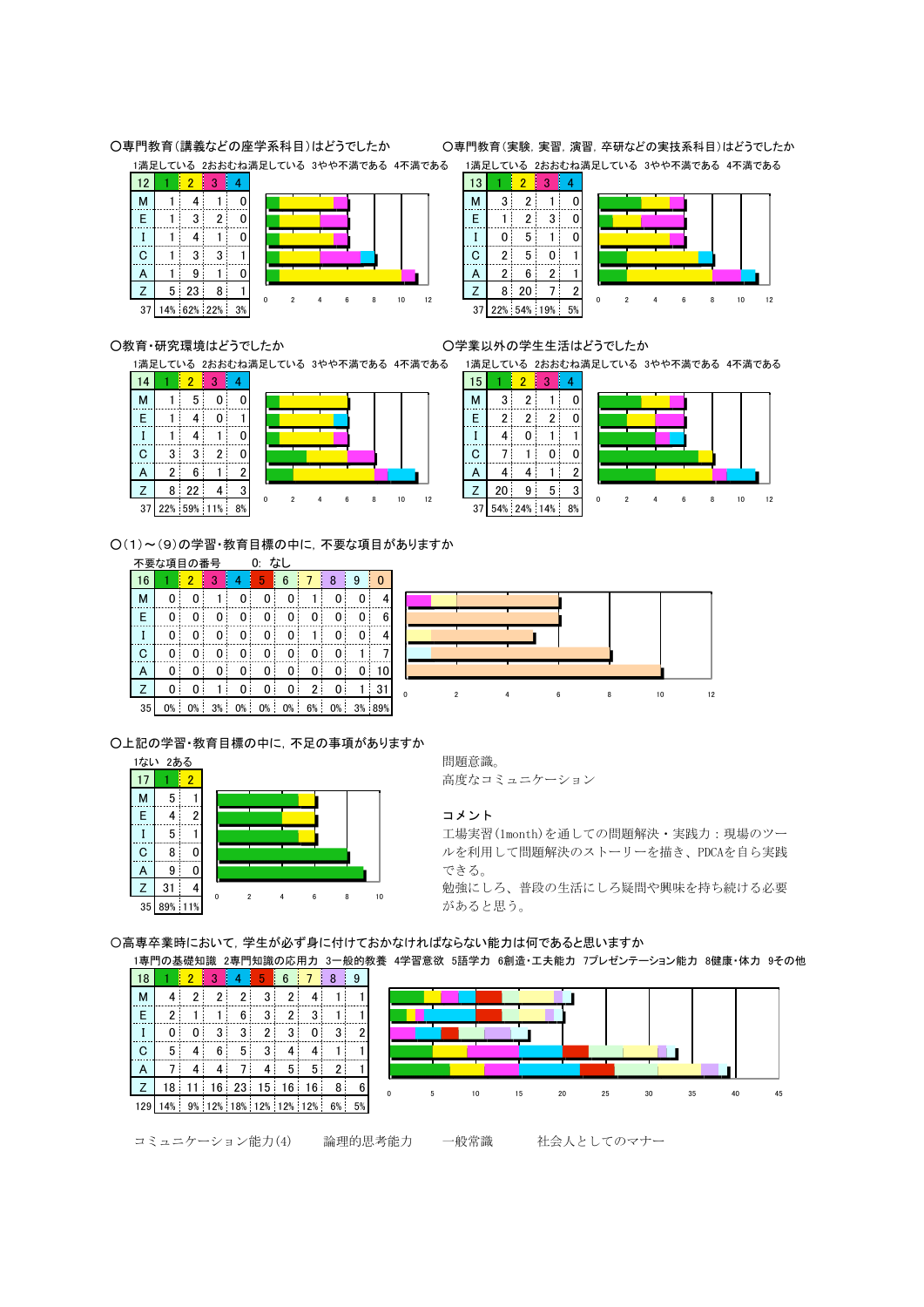〇専門教育(講義などの座学系科目)はどうでしたか |満足している 2おおむね満足している 3やや不満である 4不満である



○教育・研究環境はどうでしたか

1満足している 2おおむね満足している 3やや不満である 4不満である

 $\overline{14}$  $\overline{2}$  $3<sup>1</sup>$  $\overline{4}$  $\mathsf{M}$  $\vert 1 \rangle$  $5<sup>5</sup>$  $\overline{\mathsf{o}}$  $\pmb{0}$  $\mathsf{E}$  $\mathbf{1}$  $\overline{4}$  $\mathbf{0}$  $\overline{1}$  $\overline{4}$  $\mathbf 0$  $\mathbf{I}$  $\overline{1}$  $\mathbf{1}$  $\mathbf{C}$  $3<sup>1</sup>$  $3<sup>\frac{1}{2}</sup>$  $\overline{2}$  $\overline{0}$  $\overline{2}$  $\mathfrak{p}$  $\boldsymbol{\kappa}$  $\Delta$  $\mathbf{1}$  $\overline{z}$  $\overline{4}$  $R$  22  $\mathbf{R}$  $\overline{a}$  $\overline{2}$  $\overline{a}$  $\mathbf{6}$  $\mathbf{R}$  $10<sup>-10</sup>$  $\overline{12}$ 37 22% 59% 11% 8%

 $\boldsymbol{\mathsf{M}}$  $3<sup>1</sup>$  $\overline{2}$  $\mathbf{1}$  $\,$  0  $\mathsf E$  $\overline{2}$  $\overline{2}$  $\sqrt{2}$  $\mathbf 0$  $4^{\frac{1}{2}}$  $\mathbf{0}$  $\mathbf{I}$  $\mathbf{1}$  $\overline{1}$  $\overline{c}$  $\overline{7}$  $\mathbf{1}$  $\mathbf{0}$  $\mathbf 0$  $\overline{2}$  $\Delta$  $\mathbf{A}$  $\mathbf{1}$  $\mathbf{A}$  $\overline{z}$  $\alpha$  $5<sup>1</sup>$  $20$  $\mathbf{R}$  $\overline{0}$ 37 54% 24% 14% 8%

 $\overline{\phantom{a}}$  $12$  $\overline{a}$  $\mathbf{6}$  $\mathbf{R}$  $10<sup>-10</sup>$ 

O(1)~(9)の学習·教育目標の中に、不要な項目がありますか

不要な項目の番号 0: なし 6 7 8 9 0  $16$  $234$  $-5$  $\mathbf{0}$  $|0|$  $\left|1\right|$  $\mathbf{0}$  $\overline{\mathbf{4}}$  ${\sf M}$  $\mathbf{0}$  $\pmb{0}$  $\mathbf{1}$  $\pmb{0}$  $\pmb{0}$  $\mathsf E$  $\mathbf{0}$  $|0|$  $\mathbf{0}$  $\mathbf{0}$  $\mathbf 0$  $\mathbf 0$  $\pmb{0}$  $\mathbf{0}$  $\mathbf 0$  $\boldsymbol{6}$  $\pmb{0}$  $\pmb{0}$  $\mathbf{0}$  $\pmb{0}$  $\pmb{0}$  $\pmb{0}$  $\pmb{0}$  $\overline{4}$  $\mathbf{I}$  $|0\rangle$  $\mathbf{1}$ -7  $\mathbf C$  $\mathbf{0}$  $\mathbf{0}$  $\pmb{0}$  $\overline{0}$  $\pmb{0}$  $\pmb{0}$  $\overline{0}$  $\mathbf{0}$  $\mathbf{1}$  $\mathbf 0$  $\pmb{0}$  $\pmb{0}$  $\pmb{0}$  $\mathbf 0$  $\mathbf{0}$  $\mathbf{0}$  $\mathbf{0}$  $10$  $\mathbf{0}$ A  $\overline{z}$  $|0\rangle$  $\overline{0}$  $\mathbf{0}$  $\overline{0}$  $\mathbf{0}$  $2<sup>1</sup>$  $\mathbf{0}$  $\mathbf{1}^{\mathbf{i}}$  $\blacksquare$  $31$  $0\%$   $0\%$   $3\%$   $0\%$   $0\%$   $0\%$   $6\%$   $0\%$  $35$  $3%$  89%





 $\overline{2}$  $\overline{A}$  $\epsilon$  $12$  $\overline{\mathbf{0}}$  $\mathbf{a}$  $10<sup>1</sup>$ 

> 問題意識。 高度なコミュニケーション

コメント

工場実習(1month)を通しての問題解決·実践力:現場のツー ルを利用して問題解決のストーリーを描き、PDCAを自ら実践 できる。 勉強にしろ、普段の生活にしろ疑問や興味を持ち続ける必要 があると思う。

○高専卒業時において、学生が必ず身に付けておかなければならない能力は何であると思いますか

1専門の基礎知識 2専門知識の応用力 3一般的教養 4学習意欲 5語学力 6創造・工夫能力 7プレゼンテーション能力 8健康・体力 9その他

| 18  |     | 2 <sup>2</sup><br>I | I<br>-3                          | 4   | 5 <sup>1</sup> | 6  | 7  | 8  | 9  |
|-----|-----|---------------------|----------------------------------|-----|----------------|----|----|----|----|
| M   | 4   | 2                   | 2                                | 2:  | 3              | 2: | 4  |    |    |
| Е   | 2   |                     |                                  | 6   | 3              | 2: | 3  |    |    |
| I   | 0   | 0                   | 3                                | 3   | 2:             | 3  | 0  | 3  | 2  |
| C   | 5   | 4                   | 6                                | 5 ! | 3              | 4  | 4  |    |    |
| A   |     | 4                   | 4                                | 7   | 4              | 5  | 5: | 2  |    |
| Ζ   | 18  | 1                   | 16 23 15 16                      |     |                |    | 16 | 8  | 6  |
| 129 | 14% |                     | 9%   12%   18%   12%   12%   12% |     |                |    |    | 6% | 5% |



コミュニケーション能力(4) 論理的思考能力 一般常識

社会人としてのマナー

 $2<sup>1</sup>$  $3 \mid 4$ Ŧ.  $3<sup>1</sup>$  $2^{\frac{1}{2}}$  $\vert 1 \vert$  $\overline{\mathbf{0}}$  $2^{\frac{1}{2}}$  $\overline{\phantom{a}}$  $\Omega$  $\mathbf{1}$  $5<sup>1</sup>$  $\mathbf 0$  $0^{\frac{1}{3}}$  $\overline{1}$  $5<sup>1</sup>$  $2<sup>1</sup>$  $\Omega$  $\overline{1}$  $2^{\frac{1}{2}}$  $6<sup>1</sup>$  $\overline{2}$  $\overline{1}$ 



○専門教育(実験,実習,演習,卒研などの実技系科目)はどうでしたか

1満足している 2おおむね満足している 3やや不満である 4不満である

○学業以外の学生生活はどうでしたか

1満足している 2おおむね満足している 3やや不満である 4不満である  $15$  $\overline{2}$  $3<sup>1</sup>$  $\overline{4}$ 

 $13$ 

M

 $\mathsf{F}$ 

 $\mathbf I$